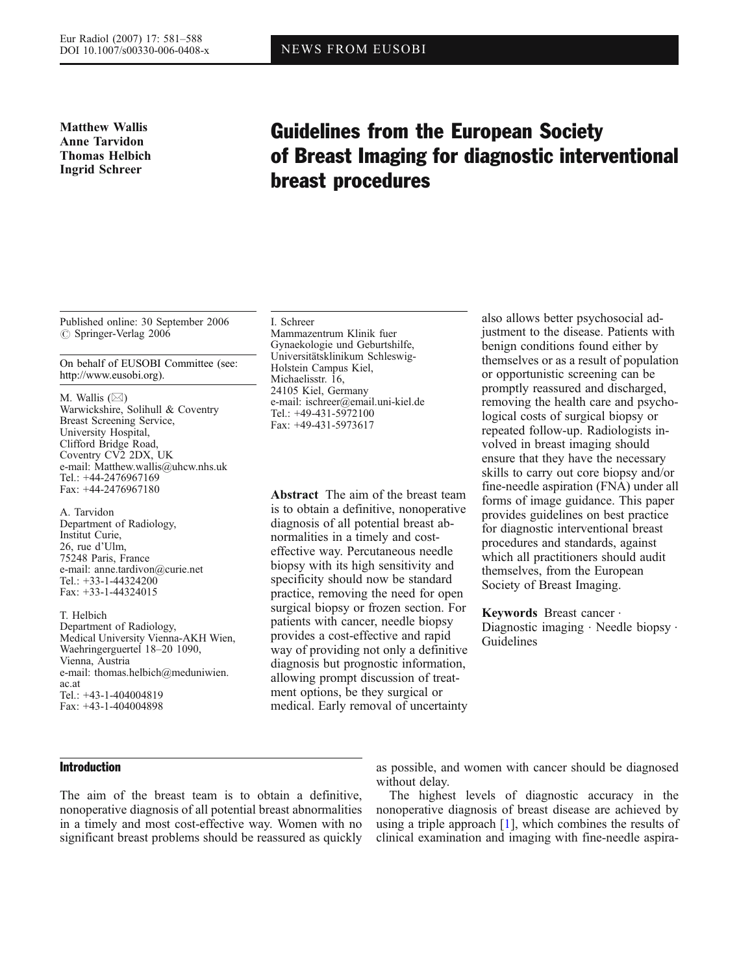Matthew Wallis Anne Tarvidon Thomas Helbich Ingrid Schreer

# Guidelines from the European Society of Breast Imaging for diagnostic interventional breast procedures

Published online: 30 September 2006  $\circ$  Springer-Verlag 2006

On behalf of EUSOBI Committee (see: [http://www.eusobi.org\)](http://www.eusobi.org).

M. Wallis  $(\boxtimes)$ Warwickshire, Solihull & Coventry Breast Screening Service, University Hospital, Clifford Bridge Road, Coventry CV2 2DX, UK e-mail: Matthew.wallis@uhcw.nhs.uk Tel.: +44-2476967169 Fax: +44-2476967180

A. Tarvidon Department of Radiology, Institut Curie, 26, rue d'Ulm, 75248 Paris, France e-mail: anne.tardivon@curie.net Tel.: +33-1-44324200 Fax: +33-1-44324015

T. Helbich Department of Radiology, Medical University Vienna-AKH Wien, Waehringerguertel 18–20 1090, Vienna, Austria e-mail: thomas.helbich@meduniwien. ac.at Tel.: +43-1-404004819 Fax: +43-1-404004898

I. Schreer Mammazentrum Klinik fuer Gynaekologie und Geburtshilfe, Universitätsklinikum Schleswig-Holstein Campus Kiel, Michaelisstr. 16, 24105 Kiel, Germany e-mail: ischreer@email.uni-kiel.de Tel.: +49-431-5972100 Fax: +49-431-5973617

Abstract The aim of the breast team is to obtain a definitive, nonoperative diagnosis of all potential breast abnormalities in a timely and costeffective way. Percutaneous needle biopsy with its high sensitivity and specificity should now be standard practice, removing the need for open surgical biopsy or frozen section. For patients with cancer, needle biopsy provides a cost-effective and rapid way of providing not only a definitive diagnosis but prognostic information, allowing prompt discussion of treatment options, be they surgical or medical. Early removal of uncertainty

also allows better psychosocial adjustment to the disease. Patients with benign conditions found either by themselves or as a result of population or opportunistic screening can be promptly reassured and discharged, removing the health care and psychological costs of surgical biopsy or repeated follow-up. Radiologists involved in breast imaging should ensure that they have the necessary skills to carry out core biopsy and/or fine-needle aspiration (FNA) under all forms of image guidance. This paper provides guidelines on best practice for diagnostic interventional breast procedures and standards, against which all practitioners should audit themselves, from the European Society of Breast Imaging.

Keywords Breast cancer . Diagnostic imaging  $\cdot$  Needle biopsy  $\cdot$ Guidelines

## Introduction

The aim of the breast team is to obtain a definitive, nonoperative diagnosis of all potential breast abnormalities in a timely and most cost-effective way. Women with no significant breast problems should be reassured as quickly as possible, and women with cancer should be diagnosed without delay.

The highest levels of diagnostic accuracy in the nonoperative diagnosis of breast disease are achieved by using a triple approach  $[1]$ , which combines the results of clinical examination and imaging with fine-needle aspira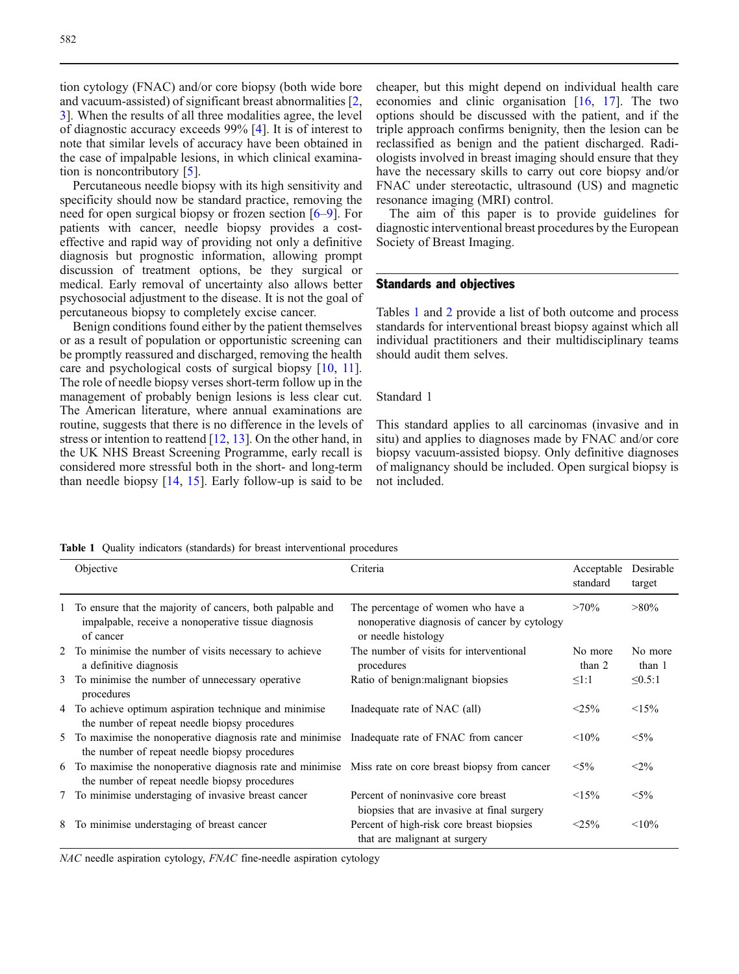tion cytology (FNAC) and/or core biopsy (both wide bore and vacuum-assisted) of significant breast abnormalities [\[2](#page-5-0), [3](#page-5-0)]. When the results of all three modalities agree, the level of diagnostic accuracy exceeds 99% [\[4](#page-5-0)]. It is of interest to note that similar levels of accuracy have been obtained in the case of impalpable lesions, in which clinical examination is noncontributory [[5](#page-5-0)].

Percutaneous needle biopsy with its high sensitivity and specificity should now be standard practice, removing the need for open surgical biopsy or frozen section [[6](#page-5-0)–[9](#page-5-0)]. For patients with cancer, needle biopsy provides a costeffective and rapid way of providing not only a definitive diagnosis but prognostic information, allowing prompt discussion of treatment options, be they surgical or medical. Early removal of uncertainty also allows better psychosocial adjustment to the disease. It is not the goal of percutaneous biopsy to completely excise cancer.

Benign conditions found either by the patient themselves or as a result of population or opportunistic screening can be promptly reassured and discharged, removing the health care and psychological costs of surgical biopsy [[10](#page-5-0), [11\]](#page-5-0). The role of needle biopsy verses short-term follow up in the management of probably benign lesions is less clear cut. The American literature, where annual examinations are routine, suggests that there is no difference in the levels of stress or intention to reattend  $[12, 13]$  $[12, 13]$  $[12, 13]$  $[12, 13]$ . On the other hand, in the UK NHS Breast Screening Programme, early recall is considered more stressful both in the short- and long-term than needle biopsy [\[14,](#page-5-0) [15](#page-5-0)]. Early follow-up is said to be

cheaper, but this might depend on individual health care economies and clinic organisation [\[16,](#page-5-0) [17](#page-5-0)]. The two options should be discussed with the patient, and if the triple approach confirms benignity, then the lesion can be reclassified as benign and the patient discharged. Radiologists involved in breast imaging should ensure that they have the necessary skills to carry out core biopsy and/or FNAC under stereotactic, ultrasound (US) and magnetic resonance imaging (MRI) control.

The aim of this paper is to provide guidelines for diagnostic interventional breast procedures by the European Society of Breast Imaging.

## Standards and objectives

Tables 1 and [2](#page-2-0) provide a list of both outcome and process standards for interventional breast biopsy against which all individual practitioners and their multidisciplinary teams should audit them selves.

## Standard 1

This standard applies to all carcinomas (invasive and in situ) and applies to diagnoses made by FNAC and/or core biopsy vacuum-assisted biopsy. Only definitive diagnoses of malignancy should be included. Open surgical biopsy is not included.

Table 1 Quality indicators (standards) for breast interventional procedures

| Objective                                                                                                                                               | Criteria                                                                                                  | Acceptable<br>standard | Desirable<br>target |
|---------------------------------------------------------------------------------------------------------------------------------------------------------|-----------------------------------------------------------------------------------------------------------|------------------------|---------------------|
| 1 To ensure that the majority of cancers, both palpable and<br>impalpable, receive a nonoperative tissue diagnosis<br>of cancer                         | The percentage of women who have a<br>nonoperative diagnosis of cancer by cytology<br>or needle histology | $>70\%$                | $>80\%$             |
| 2 To minimise the number of visits necessary to achieve<br>a definitive diagnosis                                                                       | The number of visits for interventional<br>procedures                                                     | No more<br>than 2      | No more<br>than 1   |
| 3 To minimise the number of unnecessary operative<br>procedures                                                                                         | Ratio of benign: malignant biopsies                                                                       | $\leq$ 1:1             | $\leq 0.5:1$        |
| 4 To achieve optimum aspiration technique and minimise<br>the number of repeat needle biopsy procedures                                                 | Inadequate rate of NAC (all)                                                                              | $< 25\%$               | <15%                |
| 5 To maximise the nonoperative diagnosis rate and minimise Inadequate rate of FNAC from cancer<br>the number of repeat needle biopsy procedures         |                                                                                                           | $< 10\%$               | $< 5\%$             |
| 6 To maximise the nonoperative diagnosis rate and minimise Miss rate on core breast biopsy from cancer<br>the number of repeat needle biopsy procedures |                                                                                                           | $< 5\%$                | $<$ 2%              |
| 7 To minimise understaging of invasive breast cancer                                                                                                    | Percent of noninvasive core breast<br>biopsies that are invasive at final surgery                         | <15%                   | $< 5\%$             |
| 8 To minimise understaging of breast cancer                                                                                                             | Percent of high-risk core breast biopsies<br>that are malignant at surgery                                | $<$ 25%                | $< 10\%$            |

NAC needle aspiration cytology, FNAC fine-needle aspiration cytology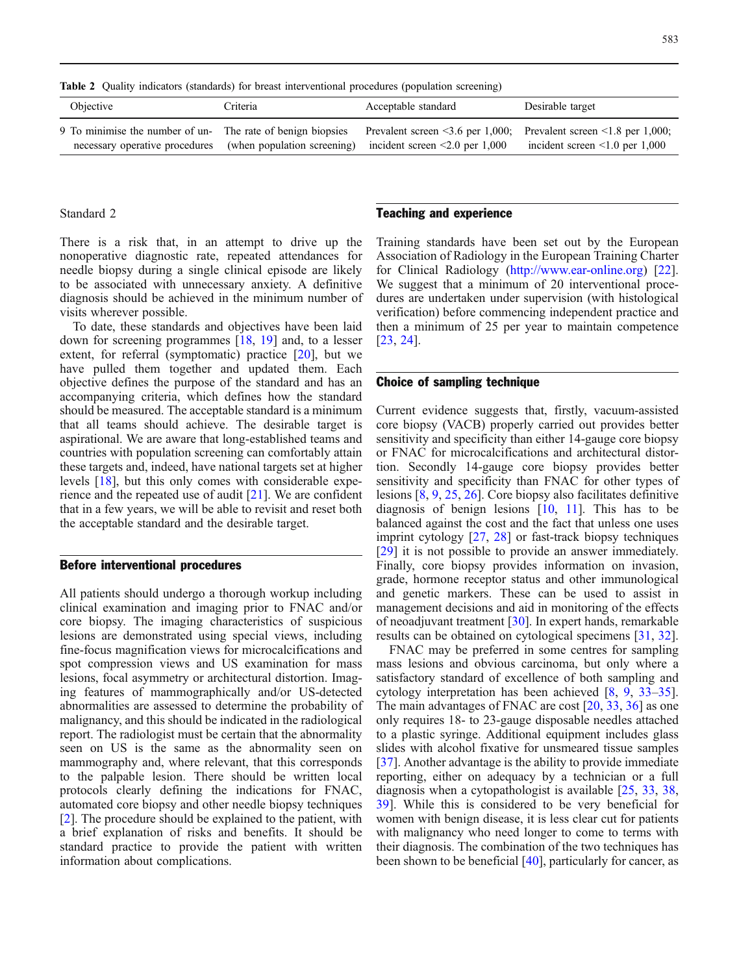<span id="page-2-0"></span>Table 2 Quality indicators (standards) for breast interventional procedures (population screening)

| Objective                                                                                                                                                          | Criteria | Acceptable standard                                              | Desirable target                     |
|--------------------------------------------------------------------------------------------------------------------------------------------------------------------|----------|------------------------------------------------------------------|--------------------------------------|
| 9 To minimise the number of un-<br>The rate of benign biopsies Prevalent screen <3.6 per 1,000; Prevalent screen <1.8 per 1,000;<br>necessary operative procedures |          | (when population screening) incident screen $\leq 2.0$ per 1,000 | incident screen $\leq 1.0$ per 1,000 |

#### Standard 2

There is a risk that, in an attempt to drive up the nonoperative diagnostic rate, repeated attendances for needle biopsy during a single clinical episode are likely to be associated with unnecessary anxiety. A definitive diagnosis should be achieved in the minimum number of visits wherever possible.

To date, these standards and objectives have been laid down for screening programmes [[18](#page-5-0), [19](#page-5-0)] and, to a lesser extent, for referral (symptomatic) practice [[20](#page-5-0)], but we have pulled them together and updated them. Each objective defines the purpose of the standard and has an accompanying criteria, which defines how the standard should be measured. The acceptable standard is a minimum that all teams should achieve. The desirable target is aspirational. We are aware that long-established teams and countries with population screening can comfortably attain these targets and, indeed, have national targets set at higher levels [[18](#page-5-0)], but this only comes with considerable experience and the repeated use of audit [[21](#page-5-0)]. We are confident that in a few years, we will be able to revisit and reset both the acceptable standard and the desirable target.

#### Before interventional procedures

All patients should undergo a thorough workup including clinical examination and imaging prior to FNAC and/or core biopsy. The imaging characteristics of suspicious lesions are demonstrated using special views, including fine-focus magnification views for microcalcifications and spot compression views and US examination for mass lesions, focal asymmetry or architectural distortion. Imaging features of mammographically and/or US-detected abnormalities are assessed to determine the probability of malignancy, and this should be indicated in the radiological report. The radiologist must be certain that the abnormality seen on US is the same as the abnormality seen on mammography and, where relevant, that this corresponds to the palpable lesion. There should be written local protocols clearly defining the indications for FNAC, automated core biopsy and other needle biopsy techniques [[2\]](#page-5-0). The procedure should be explained to the patient, with a brief explanation of risks and benefits. It should be standard practice to provide the patient with written information about complications.

## Teaching and experience

Training standards have been set out by the European Association of Radiology in the European Training Charter for Clinical Radiology [\(http://www.ear-online.org](http://www.ear-online.org)) [[22](#page-5-0)]. We suggest that a minimum of 20 interventional procedures are undertaken under supervision (with histological verification) before commencing independent practice and then a minimum of 25 per year to maintain competence [[23](#page-5-0), [24](#page-5-0)].

# Choice of sampling technique

Current evidence suggests that, firstly, vacuum-assisted core biopsy (VACB) properly carried out provides better sensitivity and specificity than either 14-gauge core biopsy or FNAC for microcalcifications and architectural distortion. Secondly 14-gauge core biopsy provides better sensitivity and specificity than FNAC for other types of lesions [[8](#page-5-0), [9](#page-5-0), [25](#page-6-0), [26\]](#page-6-0). Core biopsy also facilitates definitive diagnosis of benign lesions  $[10, 11]$  $[10, 11]$  $[10, 11]$  $[10, 11]$  $[10, 11]$ . This has to be balanced against the cost and the fact that unless one uses imprint cytology [\[27,](#page-6-0) [28\]](#page-6-0) or fast-track biopsy techniques [[29](#page-6-0)] it is not possible to provide an answer immediately. Finally, core biopsy provides information on invasion, grade, hormone receptor status and other immunological and genetic markers. These can be used to assist in management decisions and aid in monitoring of the effects of neoadjuvant treatment [[30](#page-6-0)]. In expert hands, remarkable results can be obtained on cytological specimens [\[31,](#page-6-0) [32](#page-6-0)].

FNAC may be preferred in some centres for sampling mass lesions and obvious carcinoma, but only where a satisfactory standard of excellence of both sampling and cytology interpretation has been achieved [[8,](#page-5-0) [9,](#page-5-0) [33](#page-6-0)–[35](#page-6-0)]. The main advantages of FNAC are cost [\[20,](#page-5-0) [33](#page-6-0), [36\]](#page-6-0) as one only requires 18- to 23-gauge disposable needles attached to a plastic syringe. Additional equipment includes glass slides with alcohol fixative for unsmeared tissue samples [[37](#page-6-0)]. Another advantage is the ability to provide immediate reporting, either on adequacy by a technician or a full diagnosis when a cytopathologist is available [\[25,](#page-6-0) [33](#page-6-0), [38](#page-6-0), [39\]](#page-6-0). While this is considered to be very beneficial for women with benign disease, it is less clear cut for patients with malignancy who need longer to come to terms with their diagnosis. The combination of the two techniques has been shown to be beneficial  $[40]$  $[40]$  $[40]$ , particularly for cancer, as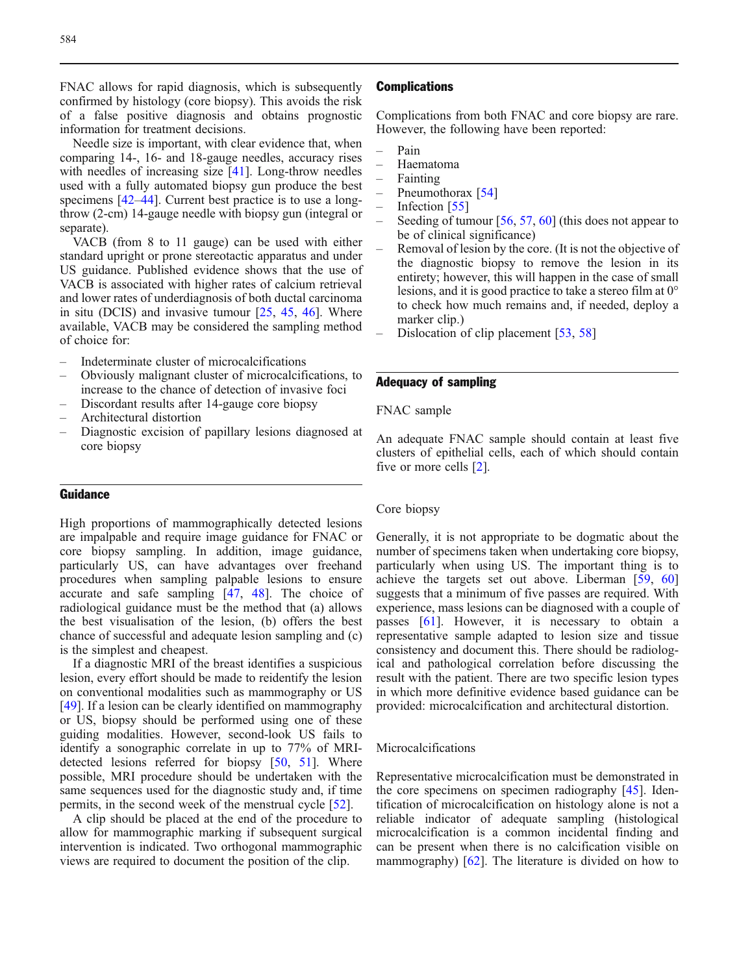FNAC allows for rapid diagnosis, which is subsequently confirmed by histology (core biopsy). This avoids the risk of a false positive diagnosis and obtains prognostic information for treatment decisions.

Needle size is important, with clear evidence that, when comparing 14-, 16- and 18-gauge needles, accuracy rises with needles of increasing size [\[41\]](#page-6-0). Long-throw needles used with a fully automated biopsy gun produce the best specimens [[42](#page-6-0)–[44](#page-6-0)]. Current best practice is to use a longthrow (2-cm) 14-gauge needle with biopsy gun (integral or separate).

VACB (from 8 to 11 gauge) can be used with either standard upright or prone stereotactic apparatus and under US guidance. Published evidence shows that the use of VACB is associated with higher rates of calcium retrieval and lower rates of underdiagnosis of both ductal carcinoma in situ (DCIS) and invasive tumour [\[25,](#page-6-0) [45](#page-6-0), [46](#page-6-0)]. Where available, VACB may be considered the sampling method of choice for:

- Indeterminate cluster of microcalcifications
- Obviously malignant cluster of microcalcifications, to increase to the chance of detection of invasive foci
- Discordant results after 14-gauge core biopsy
- Architectural distortion
- Diagnostic excision of papillary lesions diagnosed at core biopsy

# Guidance

High proportions of mammographically detected lesions are impalpable and require image guidance for FNAC or core biopsy sampling. In addition, image guidance, particularly US, can have advantages over freehand procedures when sampling palpable lesions to ensure accurate and safe sampling [\[47,](#page-6-0) [48\]](#page-6-0). The choice of radiological guidance must be the method that (a) allows the best visualisation of the lesion, (b) offers the best chance of successful and adequate lesion sampling and (c) is the simplest and cheapest.

If a diagnostic MRI of the breast identifies a suspicious lesion, every effort should be made to reidentify the lesion on conventional modalities such as mammography or US [[49](#page-6-0)]. If a lesion can be clearly identified on mammography or US, biopsy should be performed using one of these guiding modalities. However, second-look US fails to identify a sonographic correlate in up to 77% of MRI-detected lesions referred for biopsy [\[50,](#page-6-0) [51\]](#page-6-0). Where possible, MRI procedure should be undertaken with the same sequences used for the diagnostic study and, if time permits, in the second week of the menstrual cycle [[52](#page-6-0)].

A clip should be placed at the end of the procedure to allow for mammographic marking if subsequent surgical intervention is indicated. Two orthogonal mammographic views are required to document the position of the clip.

## **Complications**

Complications from both FNAC and core biopsy are rare. However, the following have been reported:

- Pain
- Haematoma
- Fainting
- Pneumothorax [\[54\]](#page-6-0)
- Infection [\[55\]](#page-6-0)
- Seeding of tumour  $[56, 57, 60]$  $[56, 57, 60]$  $[56, 57, 60]$  $[56, 57, 60]$  $[56, 57, 60]$  (this does not appear to be of clinical significance)
- Removal of lesion by the core. (It is not the objective of the diagnostic biopsy to remove the lesion in its entirety; however, this will happen in the case of small lesions, and it is good practice to take a stereo film at 0° to check how much remains and, if needed, deploy a marker clip.)
- Dislocation of clip placement [[53](#page-6-0), [58](#page-6-0)]

# Adequacy of sampling

#### FNAC sample

An adequate FNAC sample should contain at least five clusters of epithelial cells, each of which should contain five or more cells [[2](#page-5-0)].

## Core biopsy

Generally, it is not appropriate to be dogmatic about the number of specimens taken when undertaking core biopsy, particularly when using US. The important thing is to achieve the targets set out above. Liberman [\[59](#page-6-0), [60\]](#page-7-0) suggests that a minimum of five passes are required. With experience, mass lesions can be diagnosed with a couple of passes [\[61\]](#page-7-0). However, it is necessary to obtain a representative sample adapted to lesion size and tissue consistency and document this. There should be radiological and pathological correlation before discussing the result with the patient. There are two specific lesion types in which more definitive evidence based guidance can be provided: microcalcification and architectural distortion.

#### Microcalcifications

Representative microcalcification must be demonstrated in the core specimens on specimen radiography [[45](#page-6-0)]. Identification of microcalcification on histology alone is not a reliable indicator of adequate sampling (histological microcalcification is a common incidental finding and can be present when there is no calcification visible on mammography) [[62](#page-7-0)]. The literature is divided on how to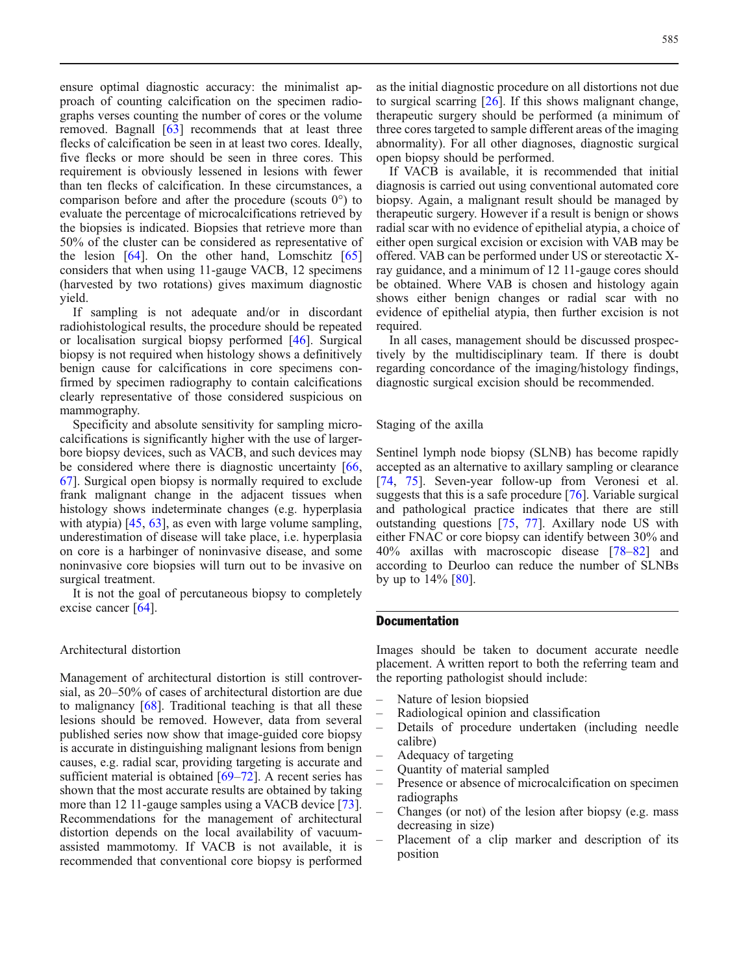ensure optimal diagnostic accuracy: the minimalist approach of counting calcification on the specimen radiographs verses counting the number of cores or the volume removed. Bagnall [\[63\]](#page-7-0) recommends that at least three flecks of calcification be seen in at least two cores. Ideally, five flecks or more should be seen in three cores. This requirement is obviously lessened in lesions with fewer than ten flecks of calcification. In these circumstances, a comparison before and after the procedure (scouts 0°) to evaluate the percentage of microcalcifications retrieved by the biopsies is indicated. Biopsies that retrieve more than 50% of the cluster can be considered as representative of the lesion  $[64]$  $[64]$  $[64]$ . On the other hand, Lomschitz  $[65]$ considers that when using 11-gauge VACB, 12 specimens (harvested by two rotations) gives maximum diagnostic yield.

If sampling is not adequate and/or in discordant radiohistological results, the procedure should be repeated or localisation surgical biopsy performed [\[46\]](#page-6-0). Surgical biopsy is not required when histology shows a definitively benign cause for calcifications in core specimens confirmed by specimen radiography to contain calcifications clearly representative of those considered suspicious on mammography.

Specificity and absolute sensitivity for sampling microcalcifications is significantly higher with the use of largerbore biopsy devices, such as VACB, and such devices may be considered where there is diagnostic uncertainty [[66](#page-7-0), [67\]](#page-7-0). Surgical open biopsy is normally required to exclude frank malignant change in the adjacent tissues when histology shows indeterminate changes (e.g. hyperplasia with atypia) [\[45,](#page-6-0) [63](#page-7-0)], as even with large volume sampling, underestimation of disease will take place, i.e. hyperplasia on core is a harbinger of noninvasive disease, and some noninvasive core biopsies will turn out to be invasive on surgical treatment.

It is not the goal of percutaneous biopsy to completely excise cancer [[64](#page-7-0)].

# Architectural distortion

Management of architectural distortion is still controversial, as 20–50% of cases of architectural distortion are due to malignancy [\[68\]](#page-7-0). Traditional teaching is that all these lesions should be removed. However, data from several published series now show that image-guided core biopsy is accurate in distinguishing malignant lesions from benign causes, e.g. radial scar, providing targeting is accurate and sufficient material is obtained [\[69](#page-7-0)–[72](#page-7-0)]. A recent series has shown that the most accurate results are obtained by taking more than 12 11-gauge samples using a VACB device [[73\]](#page-7-0). Recommendations for the management of architectural distortion depends on the local availability of vacuumassisted mammotomy. If VACB is not available, it is recommended that conventional core biopsy is performed

as the initial diagnostic procedure on all distortions not due to surgical scarring [\[26\]](#page-6-0). If this shows malignant change, therapeutic surgery should be performed (a minimum of three cores targeted to sample different areas of the imaging abnormality). For all other diagnoses, diagnostic surgical open biopsy should be performed.

If VACB is available, it is recommended that initial diagnosis is carried out using conventional automated core biopsy. Again, a malignant result should be managed by therapeutic surgery. However if a result is benign or shows radial scar with no evidence of epithelial atypia, a choice of either open surgical excision or excision with VAB may be offered. VAB can be performed under US or stereotactic Xray guidance, and a minimum of 12 11-gauge cores should be obtained. Where VAB is chosen and histology again shows either benign changes or radial scar with no evidence of epithelial atypia, then further excision is not required.

In all cases, management should be discussed prospectively by the multidisciplinary team. If there is doubt regarding concordance of the imaging/histology findings, diagnostic surgical excision should be recommended.

Staging of the axilla

Sentinel lymph node biopsy (SLNB) has become rapidly accepted as an alternative to axillary sampling or clearance [[74](#page-7-0), [75](#page-7-0)]. Seven-year follow-up from Veronesi et al. suggests that this is a safe procedure [[76](#page-7-0)]. Variable surgical and pathological practice indicates that there are still outstanding questions [[75](#page-7-0), [77\]](#page-7-0). Axillary node US with either FNAC or core biopsy can identify between 30% and 40% axillas with macroscopic disease [\[78](#page-7-0)–[82](#page-7-0)] and according to Deurloo can reduce the number of SLNBs by up to  $14\%$  [\[80\]](#page-7-0).

# **Documentation**

Images should be taken to document accurate needle placement. A written report to both the referring team and the reporting pathologist should include:

- Nature of lesion biopsied
- Radiological opinion and classification
- Details of procedure undertaken (including needle calibre)
- Adequacy of targeting
- Quantity of material sampled
- Presence or absence of microcalcification on specimen radiographs
- Changes (or not) of the lesion after biopsy (e.g. mass decreasing in size)
- Placement of a clip marker and description of its position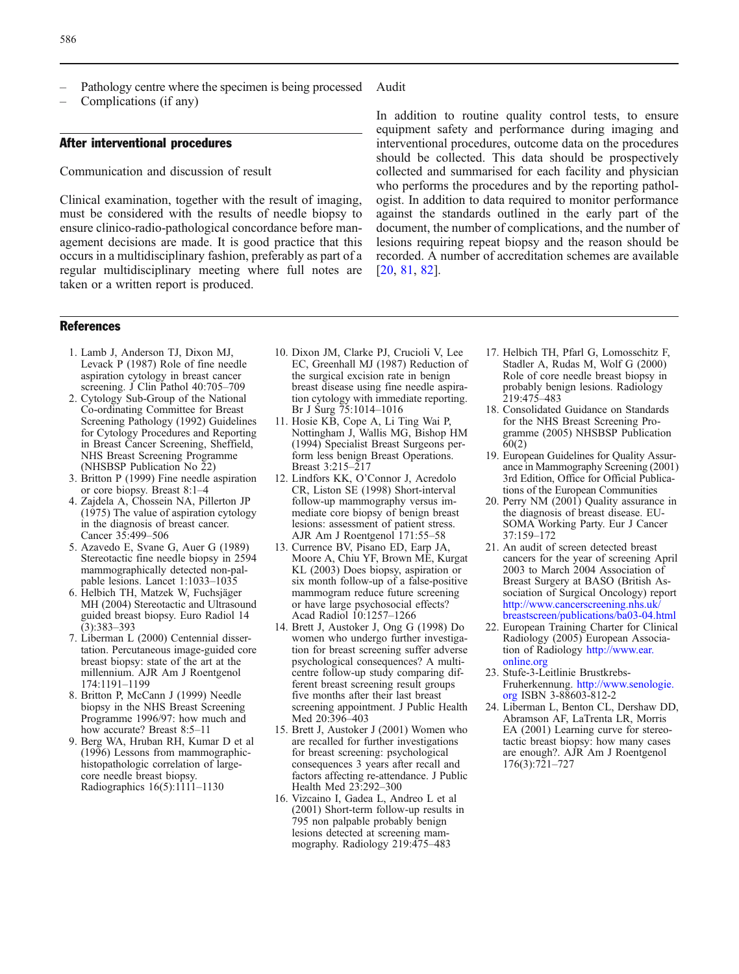- <span id="page-5-0"></span>Pathology centre where the specimen is being processed
- Complications (if any)

### After interventional procedures

Communication and discussion of result

Clinical examination, together with the result of imaging, must be considered with the results of needle biopsy to ensure clinico-radio-pathological concordance before management decisions are made. It is good practice that this occurs in a multidisciplinary fashion, preferably as part of a regular multidisciplinary meeting where full notes are taken or a written report is produced.

#### References

- 1. Lamb J, Anderson TJ, Dixon MJ, Levack P (1987) Role of fine needle aspiration cytology in breast cancer screening. J Clin Pathol 40:705–709
- 2. Cytology Sub-Group of the National Co-ordinating Committee for Breast Screening Pathology (1992) Guidelines for Cytology Procedures and Reporting in Breast Cancer Screening, Sheffield, NHS Breast Screening Programme (NHSBSP Publication No 22)
- 3. Britton P (1999) Fine needle aspiration or core biopsy. Breast 8:1–4
- 4. Zajdela A, Chossein NA, Pillerton JP (1975) The value of aspiration cytology in the diagnosis of breast cancer. Cancer 35:499–506
- 5. Azavedo E, Svane G, Auer G (1989) Stereotactic fine needle biopsy in 2594 mammographically detected non-palpable lesions. Lancet 1:1033–1035
- 6. Helbich TH, Matzek W, Fuchsjäger MH (2004) Stereotactic and Ultrasound guided breast biopsy. Euro Radiol 14 (3):383–393
- 7. Liberman L (2000) Centennial dissertation. Percutaneous image-guided core breast biopsy: state of the art at the millennium. AJR Am J Roentgenol 174:1191–1199
- 8. Britton P, McCann J (1999) Needle biopsy in the NHS Breast Screening Programme 1996/97: how much and how accurate? Breast 8:5–11
- 9. Berg WA, Hruban RH, Kumar D et al (1996) Lessons from mammographichistopathologic correlation of largecore needle breast biopsy. Radiographics 16(5):1111–1130

10. Dixon JM, Clarke PJ, Crucioli V, Lee EC, Greenhall MJ (1987) Reduction of the surgical excision rate in benign breast disease using fine needle aspiration cytology with immediate reporting. Br J Surg 75:1014–1016

- 11. Hosie KB, Cope A, Li Ting Wai P, Nottingham J, Wallis MG, Bishop HM (1994) Specialist Breast Surgeons perform less benign Breast Operations. Breast 3:215–217
- 12. Lindfors KK, O'Connor J, Acredolo CR, Liston SE (1998) Short-interval follow-up mammography versus immediate core biopsy of benign breast lesions: assessment of patient stress. AJR Am J Roentgenol 171:55–58
- 13. Currence BV, Pisano ED, Earp JA, Moore A, Chiu YF, Brown ME, Kurgat KL (2003) Does biopsy, aspiration or six month follow-up of a false-positive mammogram reduce future screening or have large psychosocial effects? Acad Radiol 10:1257–1266
- 14. Brett J, Austoker J, Ong G (1998) Do women who undergo further investigation for breast screening suffer adverse psychological consequences? A multicentre follow-up study comparing different breast screening result groups five months after their last breast screening appointment. J Public Health Med 20:396–403
- 15. Brett J, Austoker J (2001) Women who are recalled for further investigations for breast screening: psychological consequences 3 years after recall and factors affecting re-attendance. J Public Health Med 23:292–300
- 16. Vizcaino I, Gadea L, Andreo L et al (2001) Short-term follow-up results in 795 non palpable probably benign lesions detected at screening mammography. Radiology 219:475–483

Audit

In addition to routine quality control tests, to ensure equipment safety and performance during imaging and interventional procedures, outcome data on the procedures should be collected. This data should be prospectively collected and summarised for each facility and physician who performs the procedures and by the reporting pathologist. In addition to data required to monitor performance against the standards outlined in the early part of the document, the number of complications, and the number of lesions requiring repeat biopsy and the reason should be recorded. A number of accreditation schemes are available [20, [81](#page-7-0), [82\]](#page-7-0).

- 17. Helbich TH, Pfarl G, Lomosschitz F, Stadler A, Rudas M, Wolf G (2000) Role of core needle breast biopsy in probably benign lesions. Radiology 219:475–483
- 18. Consolidated Guidance on Standards for the NHS Breast Screening Programme (2005) NHSBSP Publication 60(2)
- 19. European Guidelines for Quality Assurance in Mammography Screening (2001) 3rd Edition, Office for Official Publications of the European Communities
- 20. Perry NM (2001) Quality assurance in the diagnosis of breast disease. EU-SOMA Working Party. Eur J Cancer 37:159–172
- 21. An audit of screen detected breast cancers for the year of screening April 2003 to March 2004 Association of Breast Surgery at BASO (British Association of Surgical Oncology) report [http://www.cancerscreening.nhs.uk/](http://www.cancerscreening.nhs.uk/breastscreen/publications/ba03-04.html) [breastscreen/publications/ba03-04.html](http://www.cancerscreening.nhs.uk/breastscreen/publications/ba03-04.html)
- 22. European Training Charter for Clinical Radiology (2005) European Association of Radiology [http://www.ear.](http://www.ear.online.org) [online.org](http://www.ear.online.org)
- 23. Stufe-3-Leitlinie Brustkrebs-Fruherkennung. [http://www.senologie.](http://www.senologie.org) [org](http://www.senologie.org) ISBN 3-88603-812-2
- 24. Liberman L, Benton CL, Dershaw DD, Abramson AF, LaTrenta LR, Morris EA (2001) Learning curve for stereotactic breast biopsy: how many cases are enough?. AJR Am J Roentgenol 176(3):721–727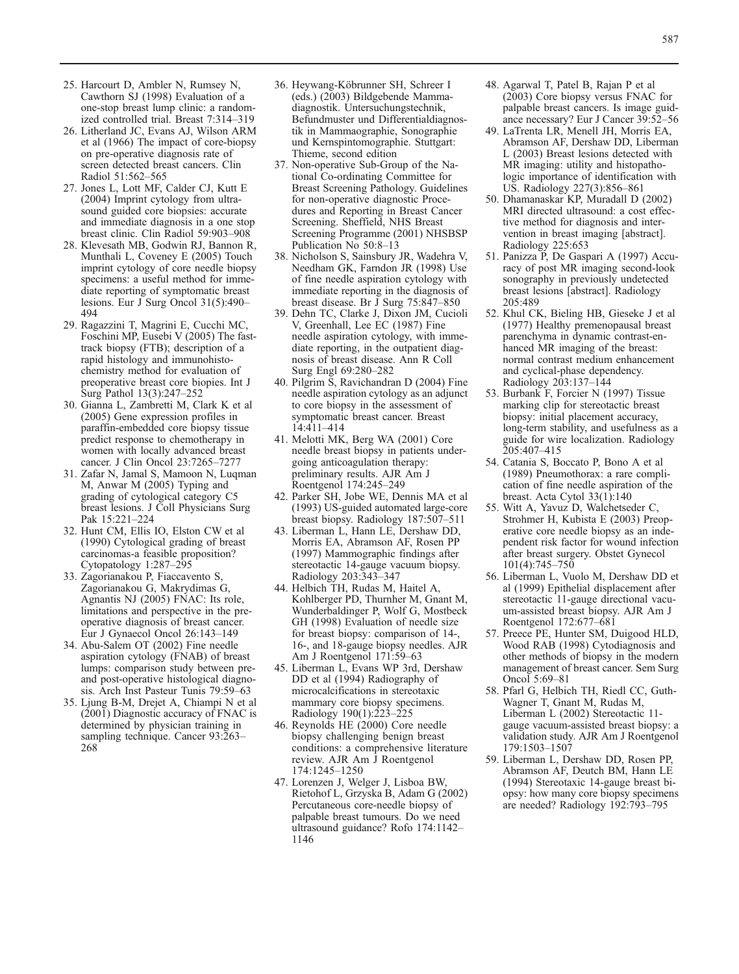- <span id="page-6-0"></span>25. Harcourt D, Ambler N, Rumsey N, Cawthorn SJ (1998) Evaluation of a one-stop breast lump clinic: a randomized controlled trial. Breast 7:314–319
- 26. Litherland JC, Evans AJ, Wilson ARM et al (1966) The impact of core-biopsy on pre-operative diagnosis rate of screen detected breast cancers. Clin Radiol 51:562–565
- 27. Jones L, Lott MF, Calder CJ, Kutt E (2004) Imprint cytology from ultrasound guided core biopsies: accurate and immediate diagnosis in a one stop breast clinic. Clin Radiol 59:903–908
- 28. Klevesath MB, Godwin RJ, Bannon R, Munthali L, Coveney E (2005) Touch imprint cytology of core needle biopsy specimens: a useful method for immediate reporting of symptomatic breast lesions. Eur J Surg Oncol 31(5):490– 494
- 29. Ragazzini T, Magrini E, Cucchi MC, Foschini MP, Eusebi V (2005) The fasttrack biopsy (FTB); description of a rapid histology and immunohistochemistry method for evaluation of preoperative breast core biopies. Int J Surg Pathol 13(3):247–252
- 30. Gianna L, Zambretti M, Clark K et al (2005) Gene expression profiles in paraffin-embedded core biopsy tissue predict response to chemotherapy in women with locally advanced breast cancer. J Clin Oncol 23:7265–7277
- 31. Zafar N, Jamal S, Mamoon N, Luqman M, Anwar M (2005) Typing and grading of cytological category C5 breast lesions. J Coll Physicians Surg Pak 15:221–224
- 32. Hunt CM, Ellis IO, Elston CW et al (1990) Cytological grading of breast carcinomas-a feasible proposition? Cytopatology 1:287–295
- 33. Zagorianakou P, Fiaccavento S, Zagorianakou G, Makrydimas G, Agnantis NJ (2005) FNAC: Its role, limitations and perspective in the preoperative diagnosis of breast cancer. Eur J Gynaecol Oncol 26:143–149
- 34. Abu-Salem OT (2002) Fine needle aspiration cytology (FNAB) of breast lumps: comparison study between preand post-operative histological diagnosis. Arch Inst Pasteur Tunis 79:59–63
- 35. Ljung B-M, Drejet A, Chiampi N et al  $(200\bar{1})$  Diagnostic accuracy of FNAC is determined by physician training in sampling technique. Cancer 93:263– 268
- 36. Heywang-Köbrunner SH, Schreer I (eds.) (2003) Bildgebende Mammadiagnostik. Untersuchungstechnik, Befundmuster und Differentialdiagnostik in Mammaographie, Sonographie und Kernspintomographie. Stuttgart: Thieme, second edition
- 37. Non-operative Sub-Group of the National Co-ordinating Committee for Breast Screening Pathology. Guidelines for non-operative diagnostic Procedures and Reporting in Breast Cancer Screening. Sheffield, NHS Breast Screening Programme (2001) NHSBSP Publication No 50:8–13
- 38. Nicholson S, Sainsbury JR, Wadehra V, Needham GK, Farndon JR (1998) Use of fine needle aspiration cytology with immediate reporting in the diagnosis of breast disease. Br J Surg 75:847–850
- 39. Dehn TC, Clarke J, Dixon JM, Cucioli V, Greenhall, Lee EC (1987) Fine needle aspiration cytology, with immediate reporting, in the outpatient diagnosis of breast disease. Ann R Coll Surg Engl 69:280–282
- 40. Pilgrim S, Ravichandran D (2004) Fine needle aspiration cytology as an adjunct to core biopsy in the assessment of symptomatic breast cancer. Breast 14:411–414
- 41. Melotti MK, Berg WA (2001) Core needle breast biopsy in patients undergoing anticoagulation therapy: preliminary results. AJR Am J Roentgenol 174:245–249
- 42. Parker SH, Jobe WE, Dennis MA et al (1993) US-guided automated large-core breast biopsy. Radiology 187:507–511
- 43. Liberman L, Hann LE, Dershaw DD, Morris EA, Abramson AF, Rosen PP (1997) Mammographic findings after stereotactic 14-gauge vacuum biopsy. Radiology 203:343–347
- 44. Helbich TH, Rudas M, Haitel A, Kohlberger PD, Thurnher M, Gnant M, Wunderbaldinger P, Wolf G, Mostbeck GH (1998) Evaluation of needle size for breast biopsy: comparison of 14-, 16-, and 18-gauge biopsy needles. AJR Am J Roentgenol 171:59–63
- 45. Liberman L, Evans WP 3rd, Dershaw DD et al (1994) Radiography of microcalcifications in stereotaxic mammary core biopsy specimens. Radiology 190(1):223–225
- 46. Reynolds HE (2000) Core needle biopsy challenging benign breast conditions: a comprehensive literature review. AJR Am J Roentgenol 174:1245–1250
- 47. Lorenzen J, Welger J, Lisboa BW, Rietohof L, Grzyska B, Adam G (2002) Percutaneous core-needle biopsy of palpable breast tumours. Do we need ultrasound guidance? Rofo 174:1142– 1146
- 48. Agarwal T, Patel B, Rajan P et al (2003) Core biopsy versus FNAC for palpable breast cancers. Is image guidance necessary? Eur J Cancer 39:52–56
- 49. LaTrenta LR, Menell JH, Morris EA, Abramson AF, Dershaw DD, Liberman L (2003) Breast lesions detected with MR imaging: utility and histopathologic importance of identification with US. Radiology 227(3):856–861
- 50. Dhamanaskar KP, Muradall D (2002) MRI directed ultrasound: a cost effective method for diagnosis and intervention in breast imaging [abstract]. Radiology 225:653
- 51. Panizza P, De Gaspari A (1997) Accuracy of post MR imaging second-look sonography in previously undetected breast lesions [abstract]. Radiology 205:489
- 52. Khul CK, Bieling HB, Gieseke J et al (1977) Healthy premenopausal breast parenchyma in dynamic contrast-enhanced MR imaging of the breast: normal contrast medium enhancement and cyclical-phase dependency. Radiology 203:137–144
- 53. Burbank F, Forcier N (1997) Tissue marking clip for stereotactic breast biopsy: initial placement accuracy, long-term stability, and usefulness as a guide for wire localization. Radiology 205:407–415
- 54. Catania S, Boccato P, Bono A et al (1989) Pneumothorax: a rare complication of fine needle aspiration of the breast. Acta Cytol 33(1):140
- 55. Witt A, Yavuz D, Walchetseder C, Strohmer H, Kubista E (2003) Preoperative core needle biopsy as an independent risk factor for wound infection after breast surgery. Obstet Gynecol 101(4):745–750
- 56. Liberman L, Vuolo M, Dershaw DD et al (1999) Epithelial displacement after stereotactic 11-gauge directional vacuum-assisted breast biopsy. AJR Am J Roentgenol 172:677–681
- 57. Preece PE, Hunter SM, Duigood HLD, Wood RAB (1998) Cytodiagnosis and other methods of biopsy in the modern management of breast cancer. Sem Surg Oncol 5:69–81
- 58. Pfarl G, Helbich TH, Riedl CC, Guth-Wagner T, Gnant M, Rudas M, Liberman L (2002) Stereotactic 11 gauge vacuum-assisted breast biopsy: a validation study. AJR Am J Roentgenol 179:1503–1507
- 59. Liberman L, Dershaw DD, Rosen PP, Abramson AF, Deutch BM, Hann LE (1994) Stereotaxic 14-gauge breast biopsy: how many core biopsy specimens are needed? Radiology 192:793–795